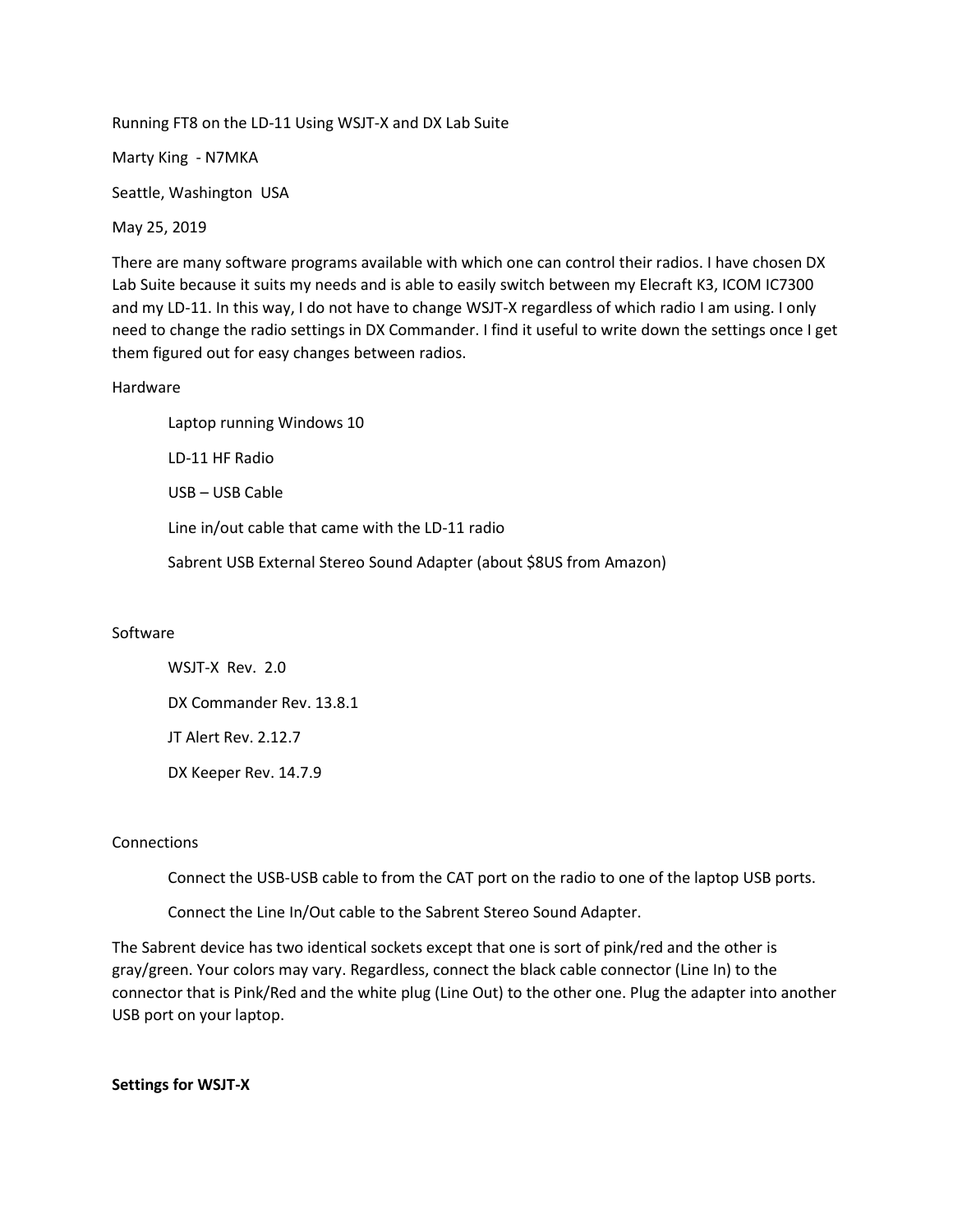Running FT8 on the LD-11 Using WSJT-X and DX Lab Suite

Marty King - N7MKA

Seattle, Washington USA

May 25, 2019

There are many software programs available with which one can control their radios. I have chosen DX Lab Suite because it suits my needs and is able to easily switch between my Elecraft K3, ICOM IC7300 and my LD-11. In this way, I do not have to change WSJT-X regardless of which radio I am using. I only need to change the radio settings in DX Commander. I find it useful to write down the settings once I get them figured out for easy changes between radios.

### Hardware

Laptop running Windows 10 LD-11 HF Radio USB – USB Cable Line in/out cable that came with the LD-11 radio Sabrent USB External Stereo Sound Adapter (about \$8US from Amazon)

# Software

WSJT-X Rev. 2.0 DX Commander Rev. 13.8.1 JT Alert Rev. 2.12.7 DX Keeper Rev. 14.7.9

# Connections

Connect the USB-USB cable to from the CAT port on the radio to one of the laptop USB ports.

Connect the Line In/Out cable to the Sabrent Stereo Sound Adapter.

The Sabrent device has two identical sockets except that one is sort of pink/red and the other is gray/green. Your colors may vary. Regardless, connect the black cable connector (Line In) to the connector that is Pink/Red and the white plug (Line Out) to the other one. Plug the adapter into another USB port on your laptop.

**Settings for WSJT-X**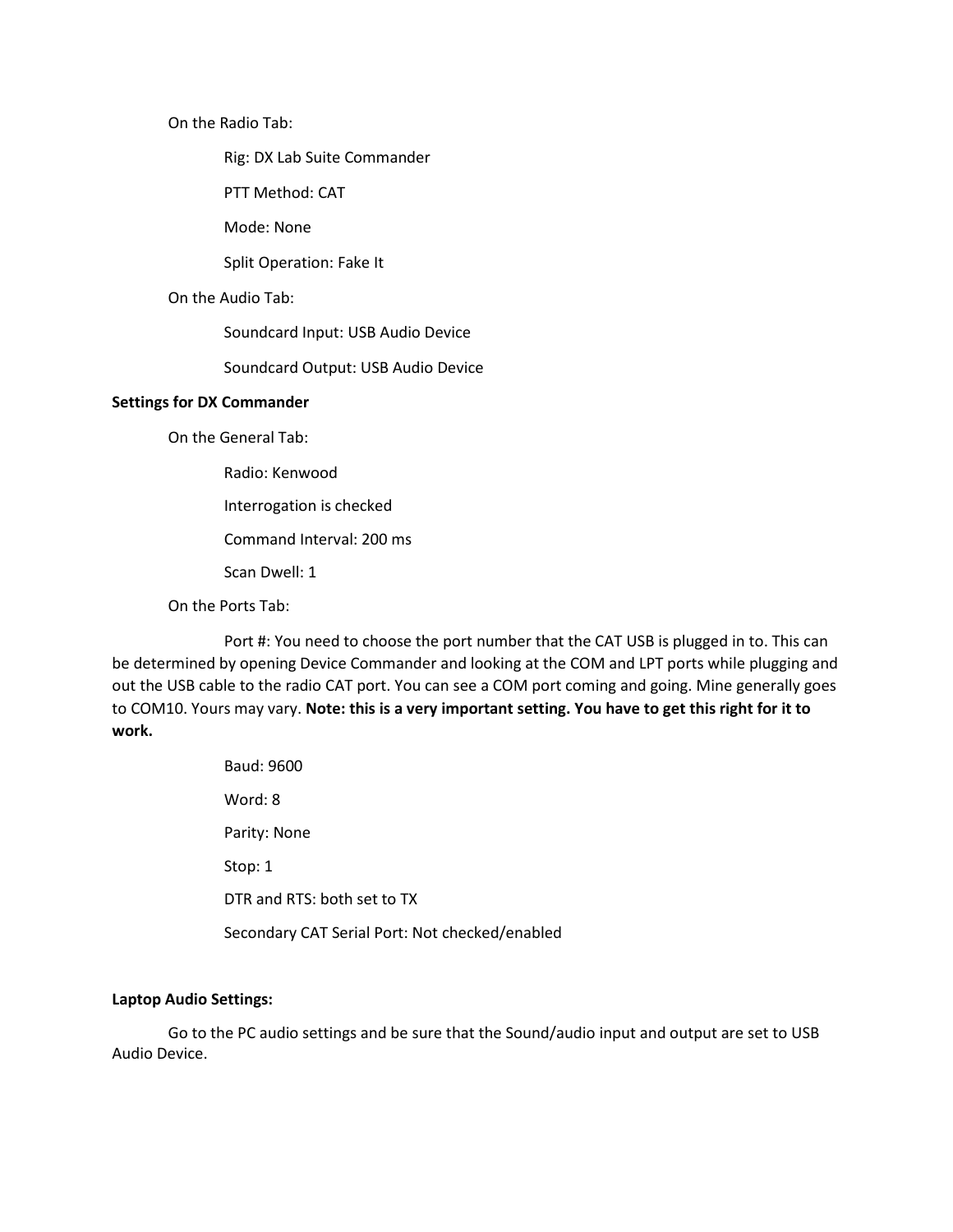On the Radio Tab:

Rig: DX Lab Suite Commander

PTT Method: CAT

Mode: None

Split Operation: Fake It

#### On the Audio Tab:

Soundcard Input: USB Audio Device

Soundcard Output: USB Audio Device

### **Settings for DX Commander**

On the General Tab:

Radio: Kenwood

Interrogation is checked

Command Interval: 200 ms

Scan Dwell: 1

# On the Ports Tab:

Port #: You need to choose the port number that the CAT USB is plugged in to. This can be determined by opening Device Commander and looking at the COM and LPT ports while plugging and out the USB cable to the radio CAT port. You can see a COM port coming and going. Mine generally goes to COM10. Yours may vary. **Note: this is a very important setting. You have to get this right for it to work.**

| Baud: 9600                                     |
|------------------------------------------------|
| Word: 8                                        |
| Parity: None                                   |
| Stop: 1                                        |
| DTR and RTS: both set to TX                    |
| Secondary CAT Serial Port: Not checked/enabled |

### **Laptop Audio Settings:**

Go to the PC audio settings and be sure that the Sound/audio input and output are set to USB Audio Device.